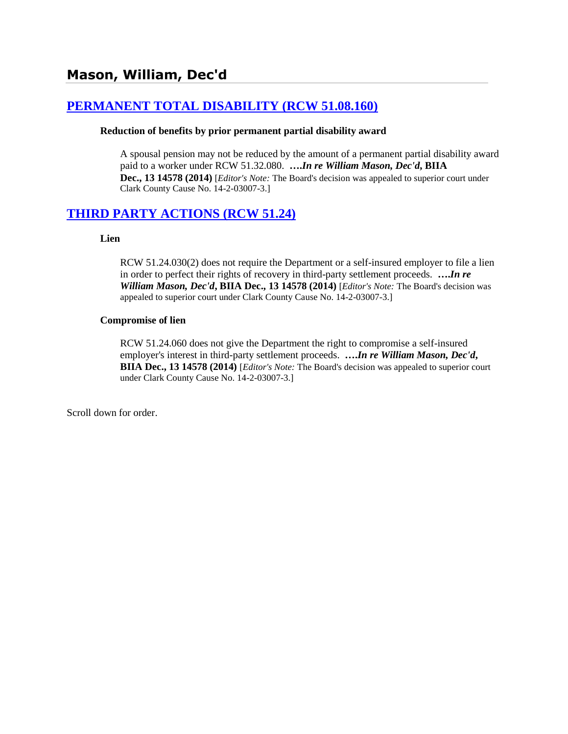# **[PERMANENT TOTAL DISABILITY \(RCW 51.08.160\)](http://www.biia.wa.gov/SDSubjectIndex.html#PERMANENT_TOTAL_DISABILITY)**

#### **Reduction of benefits by prior permanent partial disability award**

A spousal pension may not be reduced by the amount of a permanent partial disability award paid to a worker under RCW 51.32.080. **….***In re William Mason, Dec'd***, BIIA Dec., 13 14578 (2014)** [*Editor's Note:* The Board's decision was appealed to superior court under Clark County Cause No. 14-2-03007-3.]

# **[THIRD PARTY ACTIONS \(RCW 51.24\)](http://www.biia.wa.gov/SDSubjectIndex.html#THIRD_PARTY_ACTIONS)**

#### **Lien**

RCW 51.24.030(2) does not require the Department or a self-insured employer to file a lien in order to perfect their rights of recovery in third-party settlement proceeds. **….***In re William Mason, Dec'd***, BIIA Dec., 13 14578 (2014)** [*Editor's Note:* The Board's decision was appealed to superior court under Clark County Cause No. 14-2-03007-3.]

#### **Compromise of lien**

RCW 51.24.060 does not give the Department the right to compromise a self-insured employer's interest in third-party settlement proceeds. **….***In re William Mason, Dec'd***, BIIA Dec., 13 14578 (2014)** [*Editor's Note:* The Board's decision was appealed to superior court under Clark County Cause No. 14-2-03007-3.]

Scroll down for order.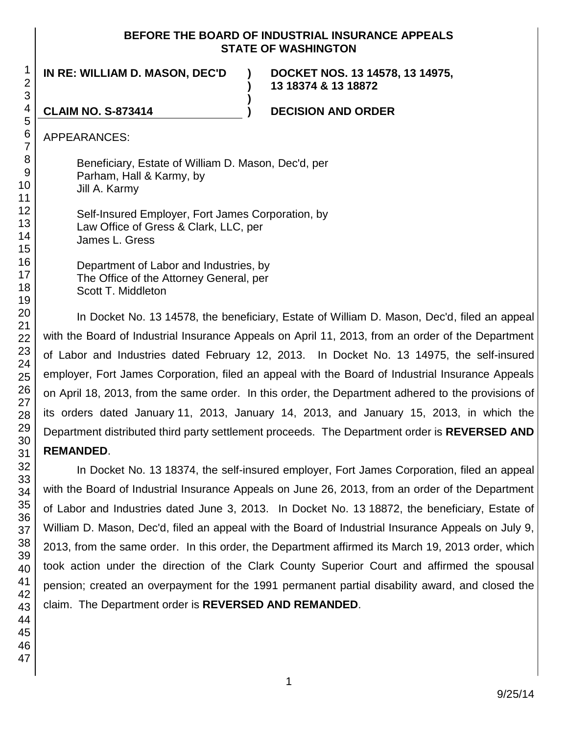#### **BEFORE THE BOARD OF INDUSTRIAL INSURANCE APPEALS STATE OF WASHINGTON**

**)**

**)**

**IN RE: WILLIAM D. MASON, DEC'D )**

**DOCKET NOS. 13 14578, 13 14975, 13 18374 & 13 18872**

**CLAIM NO. S-873414 ) DECISION AND ORDER**

APPEARANCES:

Beneficiary, Estate of William D. Mason, Dec'd, per Parham, Hall & Karmy, by Jill A. Karmy

Self-Insured Employer, Fort James Corporation, by Law Office of Gress & Clark, LLC, per James L. Gress

Department of Labor and Industries, by The Office of the Attorney General, per Scott T. Middleton

In Docket No. 13 14578, the beneficiary, Estate of William D. Mason, Dec'd, filed an appeal with the Board of Industrial Insurance Appeals on April 11, 2013, from an order of the Department of Labor and Industries dated February 12, 2013. In Docket No. 13 14975, the self-insured employer, Fort James Corporation, filed an appeal with the Board of Industrial Insurance Appeals on April 18, 2013, from the same order. In this order, the Department adhered to the provisions of its orders dated January 11, 2013, January 14, 2013, and January 15, 2013, in which the Department distributed third party settlement proceeds. The Department order is **REVERSED AND REMANDED**.

In Docket No. 13 18374, the self-insured employer, Fort James Corporation, filed an appeal with the Board of Industrial Insurance Appeals on June 26, 2013, from an order of the Department of Labor and Industries dated June 3, 2013. In Docket No. 13 18872, the beneficiary, Estate of William D. Mason, Dec'd, filed an appeal with the Board of Industrial Insurance Appeals on July 9, 2013, from the same order. In this order, the Department affirmed its March 19, 2013 order, which took action under the direction of the Clark County Superior Court and affirmed the spousal pension; created an overpayment for the 1991 permanent partial disability award, and closed the claim. The Department order is **REVERSED AND REMANDED**.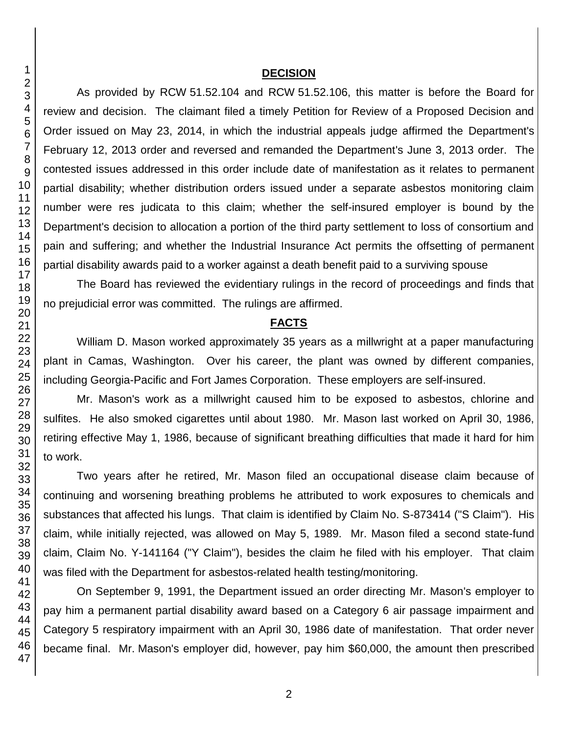#### **DECISION**

As provided by RCW 51.52.104 and RCW 51.52.106, this matter is before the Board for review and decision. The claimant filed a timely Petition for Review of a Proposed Decision and Order issued on May 23, 2014, in which the industrial appeals judge affirmed the Department's February 12, 2013 order and reversed and remanded the Department's June 3, 2013 order. The contested issues addressed in this order include date of manifestation as it relates to permanent partial disability; whether distribution orders issued under a separate asbestos monitoring claim number were res judicata to this claim; whether the self-insured employer is bound by the Department's decision to allocation a portion of the third party settlement to loss of consortium and pain and suffering; and whether the Industrial Insurance Act permits the offsetting of permanent partial disability awards paid to a worker against a death benefit paid to a surviving spouse

The Board has reviewed the evidentiary rulings in the record of proceedings and finds that no prejudicial error was committed. The rulings are affirmed.

#### **FACTS**

William D. Mason worked approximately 35 years as a millwright at a paper manufacturing plant in Camas, Washington. Over his career, the plant was owned by different companies, including Georgia-Pacific and Fort James Corporation. These employers are self-insured.

Mr. Mason's work as a millwright caused him to be exposed to asbestos, chlorine and sulfites. He also smoked cigarettes until about 1980. Mr. Mason last worked on April 30, 1986, retiring effective May 1, 1986, because of significant breathing difficulties that made it hard for him to work.

Two years after he retired, Mr. Mason filed an occupational disease claim because of continuing and worsening breathing problems he attributed to work exposures to chemicals and substances that affected his lungs. That claim is identified by Claim No. S-873414 ("S Claim"). His claim, while initially rejected, was allowed on May 5, 1989. Mr. Mason filed a second state-fund claim, Claim No. Y-141164 ("Y Claim"), besides the claim he filed with his employer. That claim was filed with the Department for asbestos-related health testing/monitoring.

On September 9, 1991, the Department issued an order directing Mr. Mason's employer to pay him a permanent partial disability award based on a Category 6 air passage impairment and Category 5 respiratory impairment with an April 30, 1986 date of manifestation. That order never became final. Mr. Mason's employer did, however, pay him \$60,000, the amount then prescribed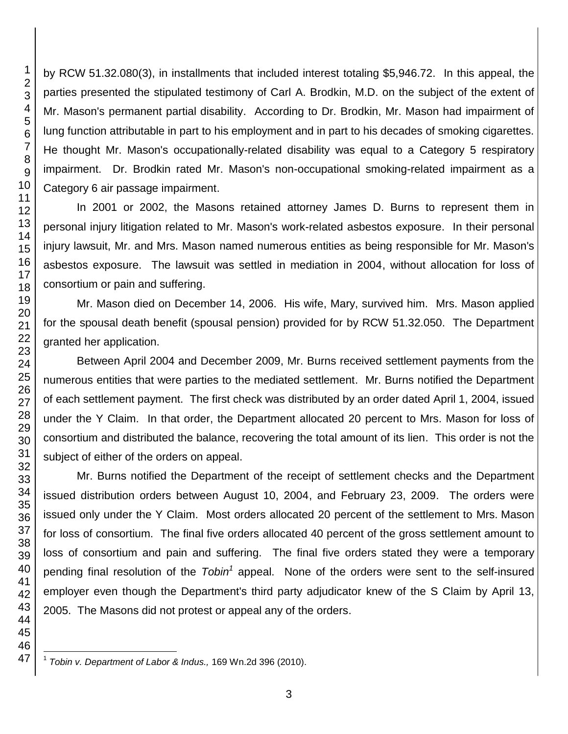by RCW 51.32.080(3), in installments that included interest totaling \$5,946.72. In this appeal, the parties presented the stipulated testimony of Carl A. Brodkin, M.D. on the subject of the extent of Mr. Mason's permanent partial disability. According to Dr. Brodkin, Mr. Mason had impairment of lung function attributable in part to his employment and in part to his decades of smoking cigarettes. He thought Mr. Mason's occupationally-related disability was equal to a Category 5 respiratory impairment. Dr. Brodkin rated Mr. Mason's non-occupational smoking-related impairment as a Category 6 air passage impairment.

In 2001 or 2002, the Masons retained attorney James D. Burns to represent them in personal injury litigation related to Mr. Mason's work-related asbestos exposure. In their personal injury lawsuit, Mr. and Mrs. Mason named numerous entities as being responsible for Mr. Mason's asbestos exposure. The lawsuit was settled in mediation in 2004, without allocation for loss of consortium or pain and suffering.

Mr. Mason died on December 14, 2006. His wife, Mary, survived him. Mrs. Mason applied for the spousal death benefit (spousal pension) provided for by RCW 51.32.050. The Department granted her application.

Between April 2004 and December 2009, Mr. Burns received settlement payments from the numerous entities that were parties to the mediated settlement. Mr. Burns notified the Department of each settlement payment. The first check was distributed by an order dated April 1, 2004, issued under the Y Claim. In that order, the Department allocated 20 percent to Mrs. Mason for loss of consortium and distributed the balance, recovering the total amount of its lien. This order is not the subject of either of the orders on appeal.

Mr. Burns notified the Department of the receipt of settlement checks and the Department issued distribution orders between August 10, 2004, and February 23, 2009. The orders were issued only under the Y Claim. Most orders allocated 20 percent of the settlement to Mrs. Mason for loss of consortium. The final five orders allocated 40 percent of the gross settlement amount to loss of consortium and pain and suffering. The final five orders stated they were a temporary pending final resolution of the *Tobin<sup>1</sup>* appeal. None of the orders were sent to the self-insured employer even though the Department's third party adjudicator knew of the S Claim by April 13, 2005. The Masons did not protest or appeal any of the orders.

 $\overline{\phantom{a}}$  *Tobin v. Department of Labor & Indus.,* 169 Wn.2d 396 (2010).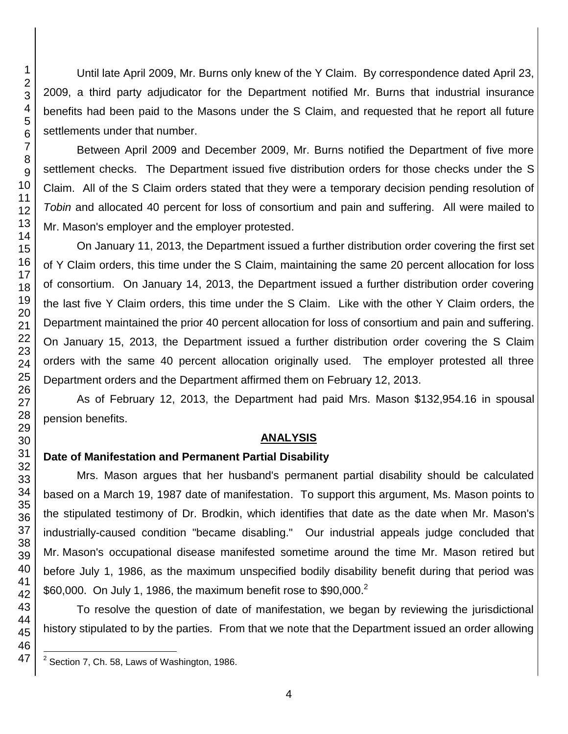Until late April 2009, Mr. Burns only knew of the Y Claim. By correspondence dated April 23, 2009, a third party adjudicator for the Department notified Mr. Burns that industrial insurance benefits had been paid to the Masons under the S Claim, and requested that he report all future settlements under that number.

Between April 2009 and December 2009, Mr. Burns notified the Department of five more settlement checks. The Department issued five distribution orders for those checks under the S Claim. All of the S Claim orders stated that they were a temporary decision pending resolution of *Tobin* and allocated 40 percent for loss of consortium and pain and suffering. All were mailed to Mr. Mason's employer and the employer protested.

On January 11, 2013, the Department issued a further distribution order covering the first set of Y Claim orders, this time under the S Claim, maintaining the same 20 percent allocation for loss of consortium. On January 14, 2013, the Department issued a further distribution order covering the last five Y Claim orders, this time under the S Claim. Like with the other Y Claim orders, the Department maintained the prior 40 percent allocation for loss of consortium and pain and suffering. On January 15, 2013, the Department issued a further distribution order covering the S Claim orders with the same 40 percent allocation originally used. The employer protested all three Department orders and the Department affirmed them on February 12, 2013.

As of February 12, 2013, the Department had paid Mrs. Mason \$132,954.16 in spousal pension benefits.

## **ANALYSIS**

# **Date of Manifestation and Permanent Partial Disability**

Mrs. Mason argues that her husband's permanent partial disability should be calculated based on a March 19, 1987 date of manifestation. To support this argument, Ms. Mason points to the stipulated testimony of Dr. Brodkin, which identifies that date as the date when Mr. Mason's industrially-caused condition "became disabling." Our industrial appeals judge concluded that Mr. Mason's occupational disease manifested sometime around the time Mr. Mason retired but before July 1, 1986, as the maximum unspecified bodily disability benefit during that period was \$60,000. On July 1, 1986, the maximum benefit rose to \$90,000. $^2$ 

To resolve the question of date of manifestation, we began by reviewing the jurisdictional history stipulated to by the parties. From that we note that the Department issued an order allowing

l Section 7, Ch. 58, Laws of Washington, 1986.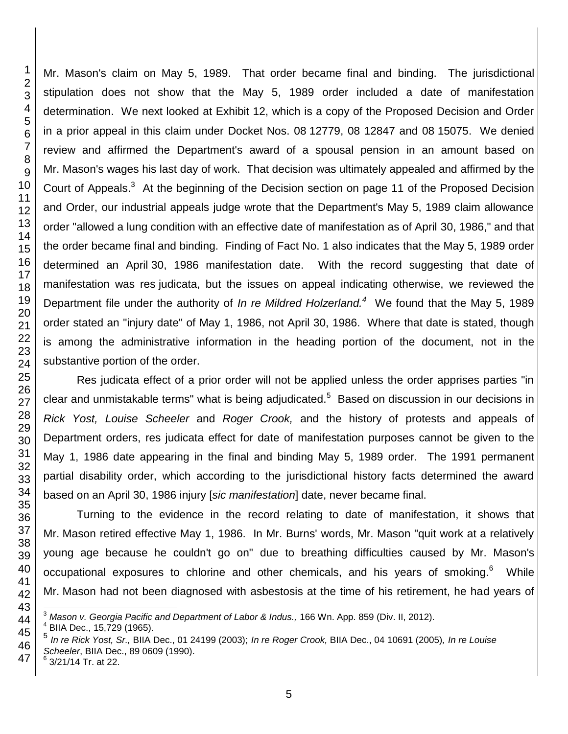Mr. Mason's claim on May 5, 1989. That order became final and binding. The jurisdictional stipulation does not show that the May 5, 1989 order included a date of manifestation determination. We next looked at Exhibit 12, which is a copy of the Proposed Decision and Order in a prior appeal in this claim under Docket Nos. 08 12779, 08 12847 and 08 15075. We denied review and affirmed the Department's award of a spousal pension in an amount based on Mr. Mason's wages his last day of work. That decision was ultimately appealed and affirmed by the Court of Appeals.<sup>3</sup> At the beginning of the Decision section on page 11 of the Proposed Decision and Order, our industrial appeals judge wrote that the Department's May 5, 1989 claim allowance order "allowed a lung condition with an effective date of manifestation as of April 30, 1986," and that the order became final and binding. Finding of Fact No. 1 also indicates that the May 5, 1989 order determined an April 30, 1986 manifestation date. With the record suggesting that date of manifestation was res judicata, but the issues on appeal indicating otherwise, we reviewed the Department file under the authority of *In re Mildred Holzerland.<sup>4</sup>* We found that the May 5, 1989 order stated an "injury date" of May 1, 1986, not April 30, 1986. Where that date is stated, though is among the administrative information in the heading portion of the document, not in the substantive portion of the order.

Res judicata effect of a prior order will not be applied unless the order apprises parties "in clear and unmistakable terms" what is being adjudicated.<sup>5</sup> Based on discussion in our decisions in *Rick Yost, Louise Scheeler* and *Roger Crook,* and the history of protests and appeals of Department orders, res judicata effect for date of manifestation purposes cannot be given to the May 1, 1986 date appearing in the final and binding May 5, 1989 order. The 1991 permanent partial disability order, which according to the jurisdictional history facts determined the award based on an April 30, 1986 injury [*sic manifestation*] date, never became final.

Turning to the evidence in the record relating to date of manifestation, it shows that Mr. Mason retired effective May 1, 1986. In Mr. Burns' words, Mr. Mason "quit work at a relatively young age because he couldn't go on" due to breathing difficulties caused by Mr. Mason's occupational exposures to chlorine and other chemicals, and his years of smoking.<sup>6</sup> While Mr. Mason had not been diagnosed with asbestosis at the time of his retirement, he had years of

l

*Mason v. Georgia Pacific and Department of Labor & Indus.,* 166 Wn. App. 859 (Div. II, 2012).

 BIIA Dec., 15,729 (1965).

 *In re Rick Yost, Sr.,* BIIA Dec., 01 24199 (2003); *In re Roger Crook,* BIIA Dec., 04 10691 (2005)*, In re Louise Scheeler*, BIIA Dec., 89 0609 (1990).

 3/21/14 Tr. at 22.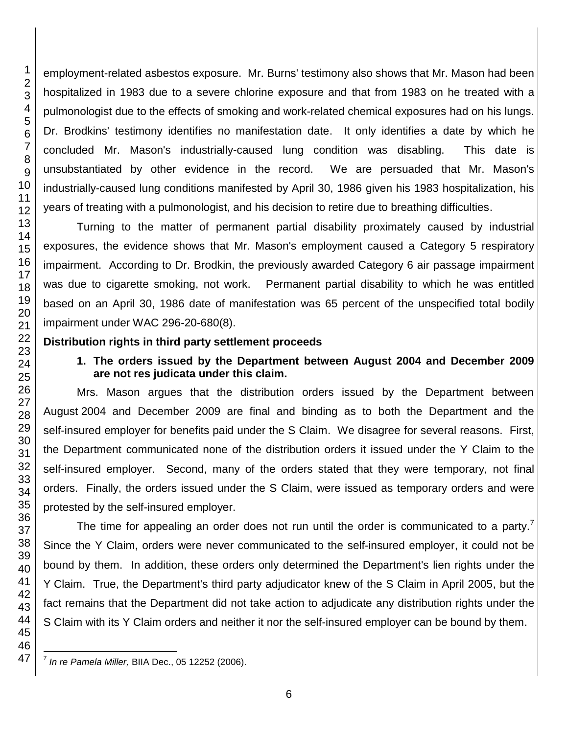employment-related asbestos exposure. Mr. Burns' testimony also shows that Mr. Mason had been hospitalized in 1983 due to a severe chlorine exposure and that from 1983 on he treated with a pulmonologist due to the effects of smoking and work-related chemical exposures had on his lungs. Dr. Brodkins' testimony identifies no manifestation date. It only identifies a date by which he concluded Mr. Mason's industrially-caused lung condition was disabling. This date is unsubstantiated by other evidence in the record. We are persuaded that Mr. Mason's industrially-caused lung conditions manifested by April 30, 1986 given his 1983 hospitalization, his years of treating with a pulmonologist, and his decision to retire due to breathing difficulties.

Turning to the matter of permanent partial disability proximately caused by industrial exposures, the evidence shows that Mr. Mason's employment caused a Category 5 respiratory impairment. According to Dr. Brodkin, the previously awarded Category 6 air passage impairment was due to cigarette smoking, not work. Permanent partial disability to which he was entitled based on an April 30, 1986 date of manifestation was 65 percent of the unspecified total bodily impairment under WAC 296-20-680(8).

## **Distribution rights in third party settlement proceeds**

# **1. The orders issued by the Department between August 2004 and December 2009 are not res judicata under this claim.**

Mrs. Mason argues that the distribution orders issued by the Department between August 2004 and December 2009 are final and binding as to both the Department and the self-insured employer for benefits paid under the S Claim. We disagree for several reasons. First, the Department communicated none of the distribution orders it issued under the Y Claim to the self-insured employer. Second, many of the orders stated that they were temporary, not final orders. Finally, the orders issued under the S Claim, were issued as temporary orders and were protested by the self-insured employer.

The time for appealing an order does not run until the order is communicated to a party.<sup>7</sup> Since the Y Claim, orders were never communicated to the self-insured employer, it could not be bound by them. In addition, these orders only determined the Department's lien rights under the Y Claim. True, the Department's third party adjudicator knew of the S Claim in April 2005, but the fact remains that the Department did not take action to adjudicate any distribution rights under the S Claim with its Y Claim orders and neither it nor the self-insured employer can be bound by them.

l *In re Pamela Miller,* BIIA Dec., 05 12252 (2006).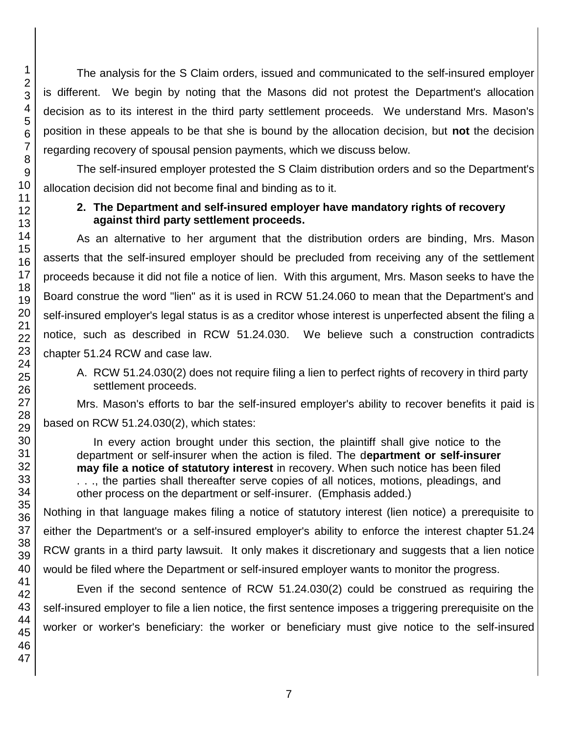The analysis for the S Claim orders, issued and communicated to the self-insured employer is different. We begin by noting that the Masons did not protest the Department's allocation decision as to its interest in the third party settlement proceeds. We understand Mrs. Mason's position in these appeals to be that she is bound by the allocation decision, but **not** the decision regarding recovery of spousal pension payments, which we discuss below.

The self-insured employer protested the S Claim distribution orders and so the Department's allocation decision did not become final and binding as to it.

# **2. The Department and self-insured employer have mandatory rights of recovery against third party settlement proceeds.**

As an alternative to her argument that the distribution orders are binding, Mrs. Mason asserts that the self-insured employer should be precluded from receiving any of the settlement proceeds because it did not file a notice of lien. With this argument, Mrs. Mason seeks to have the Board construe the word "lien" as it is used in RCW 51.24.060 to mean that the Department's and self-insured employer's legal status is as a creditor whose interest is unperfected absent the filing a notice, such as described in RCW 51.24.030. We believe such a construction contradicts chapter 51.24 RCW and case law.

A. RCW 51.24.030(2) does not require filing a lien to perfect rights of recovery in third party settlement proceeds.

Mrs. Mason's efforts to bar the self-insured employer's ability to recover benefits it paid is based on RCW 51.24.030(2), which states:

In every action brought under this section, the plaintiff shall give notice to the department or self-insurer when the action is filed. The d**epartment or self-insurer may file a notice of statutory interest** in recovery. When such notice has been filed . . ., the parties shall thereafter serve copies of all notices, motions, pleadings, and other process on the department or self-insurer. (Emphasis added.)

Nothing in that language makes filing a notice of statutory interest (lien notice) a prerequisite to either the Department's or a self-insured employer's ability to enforce the interest chapter 51.24 RCW grants in a third party lawsuit. It only makes it discretionary and suggests that a lien notice would be filed where the Department or self-insured employer wants to monitor the progress.

Even if the second sentence of RCW 51.24.030(2) could be construed as requiring the self-insured employer to file a lien notice, the first sentence imposes a triggering prerequisite on the worker or worker's beneficiary: the worker or beneficiary must give notice to the self-insured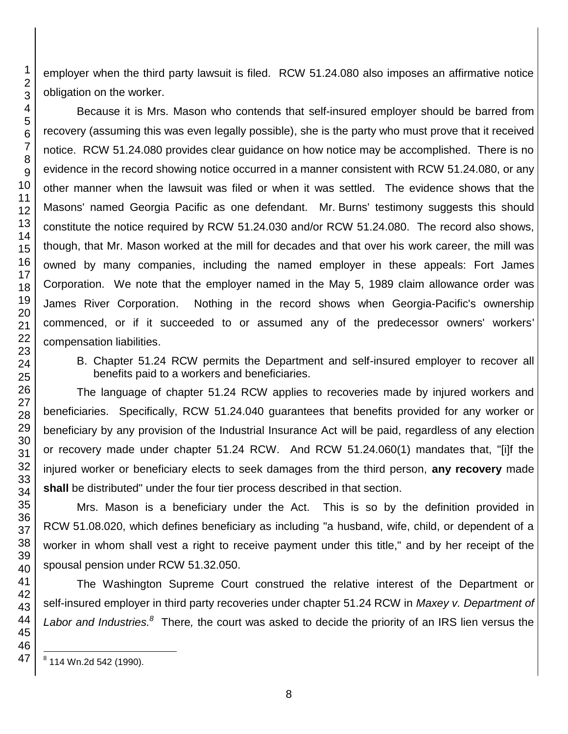employer when the third party lawsuit is filed. RCW 51.24.080 also imposes an affirmative notice obligation on the worker.

Because it is Mrs. Mason who contends that self-insured employer should be barred from recovery (assuming this was even legally possible), she is the party who must prove that it received notice. RCW 51.24.080 provides clear guidance on how notice may be accomplished. There is no evidence in the record showing notice occurred in a manner consistent with RCW 51.24.080, or any other manner when the lawsuit was filed or when it was settled. The evidence shows that the Masons' named Georgia Pacific as one defendant. Mr. Burns' testimony suggests this should constitute the notice required by RCW 51.24.030 and/or RCW 51.24.080. The record also shows, though, that Mr. Mason worked at the mill for decades and that over his work career, the mill was owned by many companies, including the named employer in these appeals: Fort James Corporation. We note that the employer named in the May 5, 1989 claim allowance order was James River Corporation. Nothing in the record shows when Georgia-Pacific's ownership commenced, or if it succeeded to or assumed any of the predecessor owners' workers' compensation liabilities.

B. Chapter 51.24 RCW permits the Department and self-insured employer to recover all benefits paid to a workers and beneficiaries.

The language of chapter 51.24 RCW applies to recoveries made by injured workers and beneficiaries. Specifically, RCW 51.24.040 guarantees that benefits provided for any worker or beneficiary by any provision of the Industrial Insurance Act will be paid, regardless of any election or recovery made under chapter 51.24 RCW. And RCW 51.24.060(1) mandates that, "[i]f the injured worker or beneficiary elects to seek damages from the third person, **any recovery** made **shall** be distributed" under the four tier process described in that section.

Mrs. Mason is a beneficiary under the Act. This is so by the definition provided in RCW 51.08.020, which defines beneficiary as including "a husband, wife, child, or dependent of a worker in whom shall vest a right to receive payment under this title," and by her receipt of the spousal pension under RCW 51.32.050.

The Washington Supreme Court construed the relative interest of the Department or self-insured employer in third party recoveries under chapter 51.24 RCW in *Maxey v. Department of*  Labor and *Industries.*<sup>8</sup> There, the court was asked to decide the priority of an IRS lien versus the

 8 114 Wn.2d 542 (1990).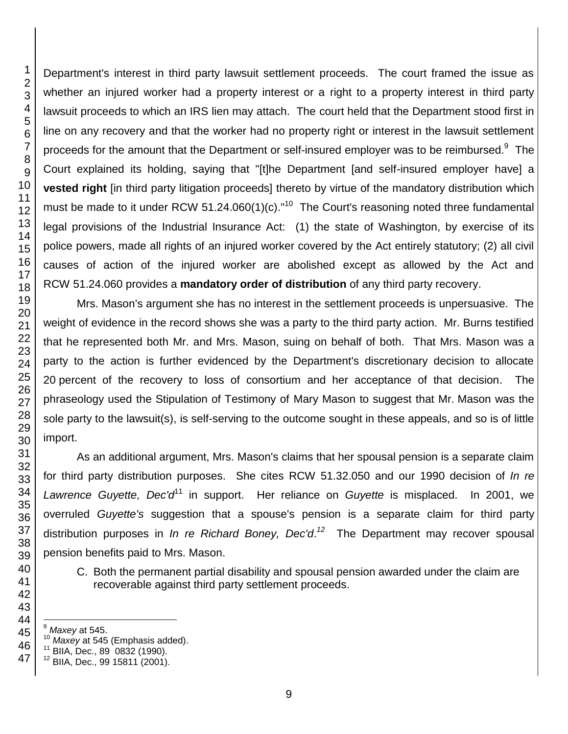Department's interest in third party lawsuit settlement proceeds. The court framed the issue as whether an injured worker had a property interest or a right to a property interest in third party lawsuit proceeds to which an IRS lien may attach. The court held that the Department stood first in line on any recovery and that the worker had no property right or interest in the lawsuit settlement proceeds for the amount that the Department or self-insured employer was to be reimbursed. $9$  The Court explained its holding, saying that "[t]he Department [and self-insured employer have] a **vested right** [in third party litigation proceeds] thereto by virtue of the mandatory distribution which must be made to it under RCW 51.24.060(1)(c)."<sup>10</sup> The Court's reasoning noted three fundamental legal provisions of the Industrial Insurance Act: (1) the state of Washington, by exercise of its police powers, made all rights of an injured worker covered by the Act entirely statutory; (2) all civil causes of action of the injured worker are abolished except as allowed by the Act and RCW 51.24.060 provides a **mandatory order of distribution** of any third party recovery.

Mrs. Mason's argument she has no interest in the settlement proceeds is unpersuasive. The weight of evidence in the record shows she was a party to the third party action. Mr. Burns testified that he represented both Mr. and Mrs. Mason, suing on behalf of both. That Mrs. Mason was a party to the action is further evidenced by the Department's discretionary decision to allocate percent of the recovery to loss of consortium and her acceptance of that decision. The phraseology used the Stipulation of Testimony of Mary Mason to suggest that Mr. Mason was the sole party to the lawsuit(s), is self-serving to the outcome sought in these appeals, and so is of little import.

As an additional argument, Mrs. Mason's claims that her spousal pension is a separate claim for third party distribution purposes. She cites RCW 51.32.050 and our 1990 decision of *In re*  Lawrence Guyette, Dec'd<sup>11</sup> in support. Her reliance on *Guyette* is misplaced. In 2001, we overruled *Guyette's* suggestion that a spouse's pension is a separate claim for third party distribution purposes in *In re Richard Boney, Dec'd*. *12* The Department may recover spousal pension benefits paid to Mrs. Mason.

C. Both the permanent partial disability and spousal pension awarded under the claim are recoverable against third party settlement proceeds.

l *Maxey* at 545.

*Maxey* at 545 (Emphasis added).

BIIA, Dec., 89 0832 (1990).

BIIA, Dec., 99 15811 (2001).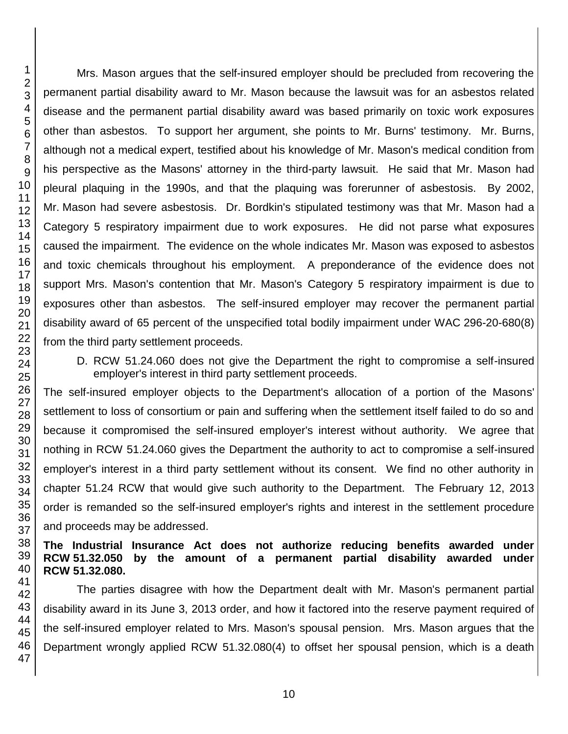Mrs. Mason argues that the self-insured employer should be precluded from recovering the permanent partial disability award to Mr. Mason because the lawsuit was for an asbestos related disease and the permanent partial disability award was based primarily on toxic work exposures other than asbestos. To support her argument, she points to Mr. Burns' testimony. Mr. Burns, although not a medical expert, testified about his knowledge of Mr. Mason's medical condition from his perspective as the Masons' attorney in the third-party lawsuit. He said that Mr. Mason had pleural plaquing in the 1990s, and that the plaquing was forerunner of asbestosis. By 2002, Mr. Mason had severe asbestosis. Dr. Bordkin's stipulated testimony was that Mr. Mason had a Category 5 respiratory impairment due to work exposures. He did not parse what exposures caused the impairment. The evidence on the whole indicates Mr. Mason was exposed to asbestos and toxic chemicals throughout his employment. A preponderance of the evidence does not support Mrs. Mason's contention that Mr. Mason's Category 5 respiratory impairment is due to exposures other than asbestos. The self-insured employer may recover the permanent partial disability award of 65 percent of the unspecified total bodily impairment under WAC 296-20-680(8) from the third party settlement proceeds.

D. RCW 51.24.060 does not give the Department the right to compromise a self-insured employer's interest in third party settlement proceeds.

The self-insured employer objects to the Department's allocation of a portion of the Masons' settlement to loss of consortium or pain and suffering when the settlement itself failed to do so and because it compromised the self-insured employer's interest without authority. We agree that nothing in RCW 51.24.060 gives the Department the authority to act to compromise a self-insured employer's interest in a third party settlement without its consent. We find no other authority in chapter 51.24 RCW that would give such authority to the Department. The February 12, 2013 order is remanded so the self-insured employer's rights and interest in the settlement procedure and proceeds may be addressed.

## **The Industrial Insurance Act does not authorize reducing benefits awarded under RCW 51.32.050 by the amount of a permanent partial disability awarded under RCW 51.32.080.**

The parties disagree with how the Department dealt with Mr. Mason's permanent partial disability award in its June 3, 2013 order, and how it factored into the reserve payment required of the self-insured employer related to Mrs. Mason's spousal pension. Mrs. Mason argues that the Department wrongly applied RCW 51.32.080(4) to offset her spousal pension, which is a death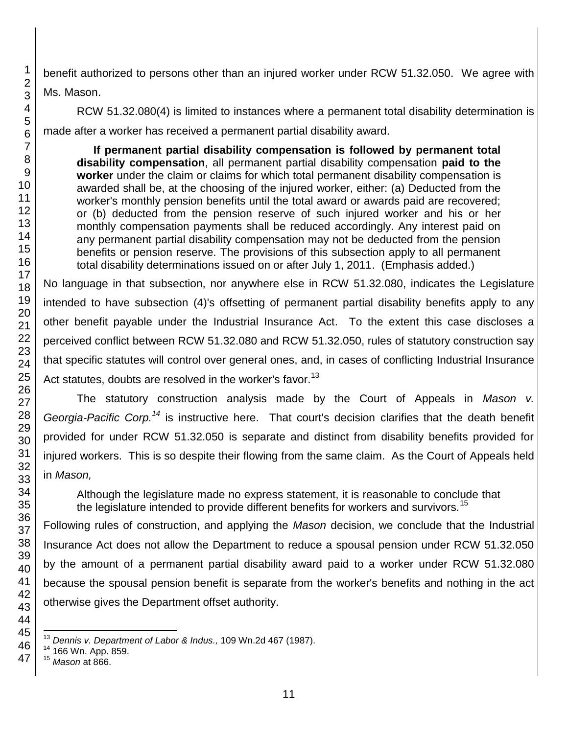benefit authorized to persons other than an injured worker under RCW 51.32.050. We agree with Ms. Mason.

RCW 51.32.080(4) is limited to instances where a permanent total disability determination is made after a worker has received a permanent partial disability award.

**If permanent partial disability compensation is followed by permanent total disability compensation**, all permanent partial disability compensation **paid to the worker** under the claim or claims for which total permanent disability compensation is awarded shall be, at the choosing of the injured worker, either: (a) Deducted from the worker's monthly pension benefits until the total award or awards paid are recovered; or (b) deducted from the pension reserve of such injured worker and his or her monthly compensation payments shall be reduced accordingly. Any interest paid on any permanent partial disability compensation may not be deducted from the pension benefits or pension reserve. The provisions of this subsection apply to all permanent total disability determinations issued on or after July 1, 2011. (Emphasis added.)

No language in that subsection, nor anywhere else in RCW 51.32.080, indicates the Legislature intended to have subsection (4)'s offsetting of permanent partial disability benefits apply to any other benefit payable under the Industrial Insurance Act. To the extent this case discloses a perceived conflict between RCW 51.32.080 and RCW 51.32.050, rules of statutory construction say that specific statutes will control over general ones, and, in cases of conflicting Industrial Insurance Act statutes, doubts are resolved in the worker's favor.<sup>13</sup>

The statutory construction analysis made by the Court of Appeals in *Mason v. Georgia-Pacific Corp.<sup>14</sup>* is instructive here. That court's decision clarifies that the death benefit provided for under RCW 51.32.050 is separate and distinct from disability benefits provided for injured workers. This is so despite their flowing from the same claim. As the Court of Appeals held in *Mason,* 

Although the legislature made no express statement, it is reasonable to conclude that the legislature intended to provide different benefits for workers and survivors.<sup>15</sup>

Following rules of construction, and applying the *Mason* decision, we conclude that the Industrial Insurance Act does not allow the Department to reduce a spousal pension under RCW 51.32.050 by the amount of a permanent partial disability award paid to a worker under RCW 51.32.080 because the spousal pension benefit is separate from the worker's benefits and nothing in the act otherwise gives the Department offset authority.

 $\overline{\phantom{a}}$ *Dennis v. Department of Labor & Indus.,* 109 Wn.2d 467 (1987).

166 Wn. App. 859.

*Mason* at 866.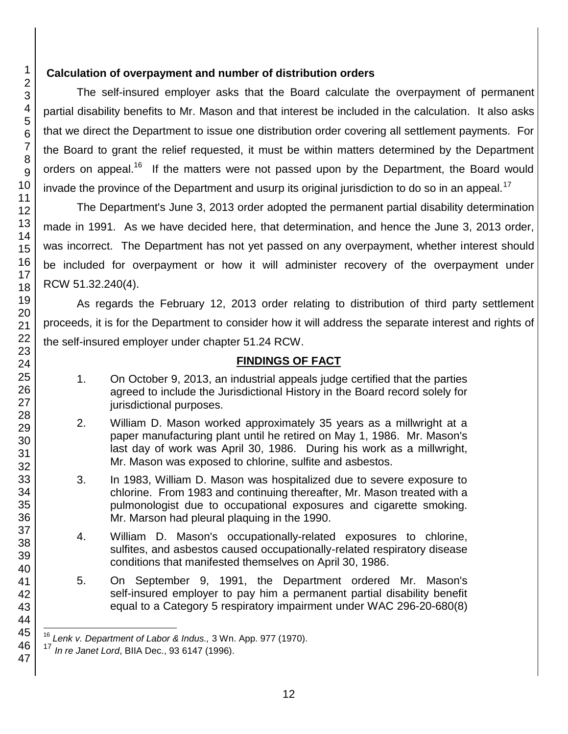# **Calculation of overpayment and number of distribution orders**

The self-insured employer asks that the Board calculate the overpayment of permanent partial disability benefits to Mr. Mason and that interest be included in the calculation. It also asks that we direct the Department to issue one distribution order covering all settlement payments. For the Board to grant the relief requested, it must be within matters determined by the Department orders on appeal.<sup>16</sup> If the matters were not passed upon by the Department, the Board would invade the province of the Department and usurp its original jurisdiction to do so in an appeal.<sup>17</sup>

The Department's June 3, 2013 order adopted the permanent partial disability determination made in 1991. As we have decided here, that determination, and hence the June 3, 2013 order, was incorrect. The Department has not yet passed on any overpayment, whether interest should be included for overpayment or how it will administer recovery of the overpayment under RCW 51.32.240(4).

As regards the February 12, 2013 order relating to distribution of third party settlement proceeds, it is for the Department to consider how it will address the separate interest and rights of the self-insured employer under chapter 51.24 RCW.

# **FINDINGS OF FACT**

- 1. On October 9, 2013, an industrial appeals judge certified that the parties agreed to include the Jurisdictional History in the Board record solely for jurisdictional purposes.
- 2. William D. Mason worked approximately 35 years as a millwright at a paper manufacturing plant until he retired on May 1, 1986. Mr. Mason's last day of work was April 30, 1986. During his work as a millwright, Mr. Mason was exposed to chlorine, sulfite and asbestos.
- 3. In 1983, William D. Mason was hospitalized due to severe exposure to chlorine. From 1983 and continuing thereafter, Mr. Mason treated with a pulmonologist due to occupational exposures and cigarette smoking. Mr. Marson had pleural plaquing in the 1990.
- 4. William D. Mason's occupationally-related exposures to chlorine, sulfites, and asbestos caused occupationally-related respiratory disease conditions that manifested themselves on April 30, 1986.
- 5. On September 9, 1991, the Department ordered Mr. Mason's self-insured employer to pay him a permanent partial disability benefit equal to a Category 5 respiratory impairment under WAC 296-20-680(8)

l Lenk v. Department of Labor & Indus., 3 Wn. App. 977 (1970).

<sup>17</sup> *In re Janet Lord*, BIIA Dec., 93 6147 (1996).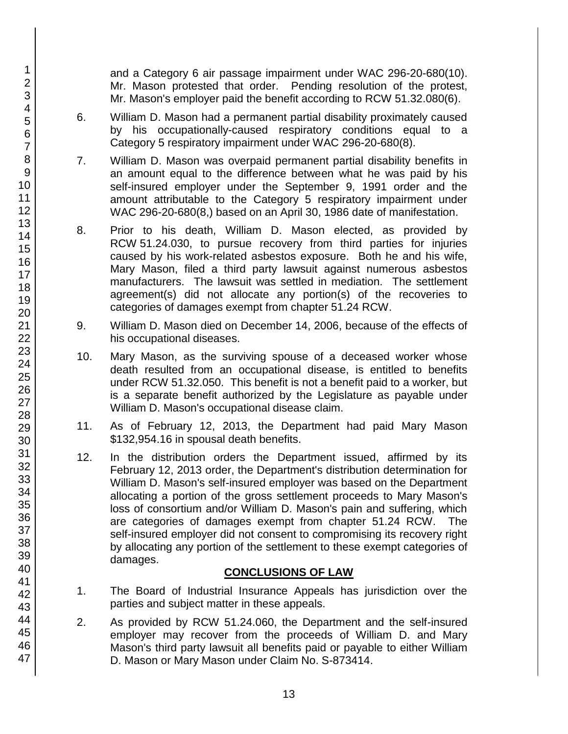and a Category 6 air passage impairment under WAC 296-20-680(10). Mr. Mason protested that order. Pending resolution of the protest, Mr. Mason's employer paid the benefit according to RCW 51.32.080(6).

- 6. William D. Mason had a permanent partial disability proximately caused by his occupationally-caused respiratory conditions equal to a Category 5 respiratory impairment under WAC 296-20-680(8).
- 7. William D. Mason was overpaid permanent partial disability benefits in an amount equal to the difference between what he was paid by his self-insured employer under the September 9, 1991 order and the amount attributable to the Category 5 respiratory impairment under WAC 296-20-680(8,) based on an April 30, 1986 date of manifestation.
- 8. Prior to his death, William D. Mason elected, as provided by RCW 51.24.030, to pursue recovery from third parties for injuries caused by his work-related asbestos exposure. Both he and his wife, Mary Mason, filed a third party lawsuit against numerous asbestos manufacturers. The lawsuit was settled in mediation. The settlement agreement(s) did not allocate any portion(s) of the recoveries to categories of damages exempt from chapter 51.24 RCW.
- 9. William D. Mason died on December 14, 2006, because of the effects of his occupational diseases.
- 10. Mary Mason, as the surviving spouse of a deceased worker whose death resulted from an occupational disease, is entitled to benefits under RCW 51.32.050. This benefit is not a benefit paid to a worker, but is a separate benefit authorized by the Legislature as payable under William D. Mason's occupational disease claim.
- 11. As of February 12, 2013, the Department had paid Mary Mason \$132,954.16 in spousal death benefits.
- 12. In the distribution orders the Department issued, affirmed by its February 12, 2013 order, the Department's distribution determination for William D. Mason's self-insured employer was based on the Department allocating a portion of the gross settlement proceeds to Mary Mason's loss of consortium and/or William D. Mason's pain and suffering, which are categories of damages exempt from chapter 51.24 RCW. The self-insured employer did not consent to compromising its recovery right by allocating any portion of the settlement to these exempt categories of damages.

# **CONCLUSIONS OF LAW**

- 1. The Board of Industrial Insurance Appeals has jurisdiction over the parties and subject matter in these appeals.
- 2. As provided by RCW 51.24.060, the Department and the self-insured employer may recover from the proceeds of William D. and Mary Mason's third party lawsuit all benefits paid or payable to either William D. Mason or Mary Mason under Claim No. S-873414.

47